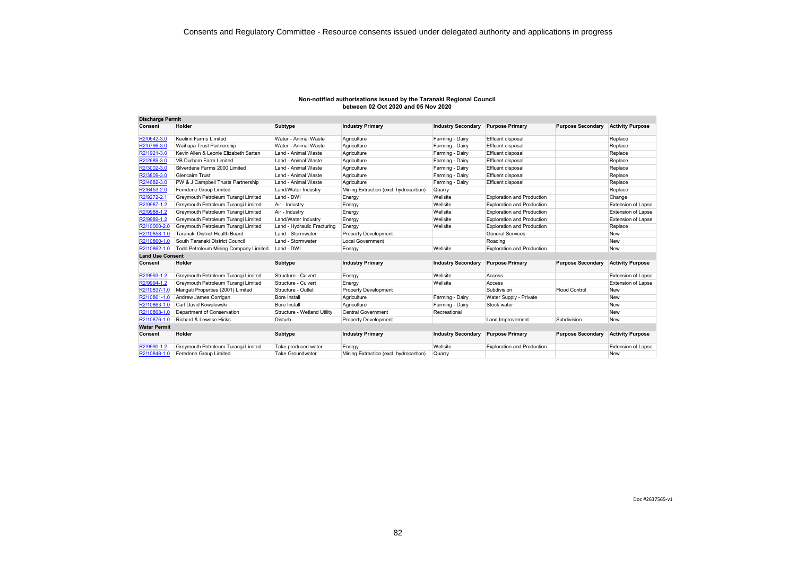| Non-notified authorisations issued by the Taranaki Regional Council |
|---------------------------------------------------------------------|
| between 02 Oct 2020 and 05 Nov 2020                                 |

| <b>Discharge Permit</b> |                                       |                             |                                       |                           |                                   |                          |                           |
|-------------------------|---------------------------------------|-----------------------------|---------------------------------------|---------------------------|-----------------------------------|--------------------------|---------------------------|
| Consent                 | Holder                                | Subtype                     | <b>Industry Primary</b>               | <b>Industry Secondary</b> | <b>Purpose Primary</b>            | <b>Purpose Secondary</b> | <b>Activity Purpose</b>   |
| R2/0642-3.0             | Keelinn Farms Limited                 | Water - Animal Waste        | Agriculture                           | Farming - Dairy           | Effluent disposal                 |                          | Replace                   |
| R2/0796-3.0             | Waihapa Trust Partnership             | Water - Animal Waste        | Agriculture                           | Farming - Dairy           | Effluent disposal                 |                          | Replace                   |
| R2/1921-3.0             | Kevin Allen & Leonie Elizabeth Sarten | Land - Animal Waste         | Agriculture                           | Farming - Dairy           | Effluent disposal                 |                          | Replace                   |
| R2/2689-3.0             | <b>VB Durham Farm Limited</b>         | Land - Animal Waste         | Agriculture                           | Farming - Dairy           | Effluent disposal                 |                          | Replace                   |
| R2/3002-3.0             | Silverdene Farms 2000 Limited         | Land - Animal Waste         | Agriculture                           | Farming - Dairy           | Effluent disposal                 |                          | Replace                   |
| R2/3809-3.0             | <b>Glencairn Trust</b>                | Land - Animal Waste         | Agriculture                           | Farming - Dairy           | Effluent disposal                 |                          | Replace                   |
| R2/4682-3.0             | PW & J Campbell Trusts Partnership    | Land - Animal Waste         | Agriculture                           | Farming - Dairy           | Effluent disposal                 |                          | Replace                   |
| R2/6453-2.0             | Ferndene Group Limited                | Land/Water Industry         | Mining Extraction (excl. hydrocarbon) | Quarry                    |                                   |                          | Replace                   |
| R2/9272-2.1             | Greymouth Petroleum Turangi Limited   | Land - DWI                  | Energy                                | Wellsite                  | <b>Exploration and Production</b> |                          | Change                    |
| R2/9987-1.2             | Greymouth Petroleum Turangi Limited   | Air - Industry              | Energy                                | Wellsite                  | <b>Exploration and Production</b> |                          | Extension of Lapse        |
| R2/9988-1.2             | Greymouth Petroleum Turangi Limited   | Air - Industry              | Energy                                | Wellsite                  | <b>Exploration and Production</b> |                          | Extension of Lapse        |
| R2/9989-1.2             | Greymouth Petroleum Turangi Limited   | Land/Water Industry         | Energy                                | Wellsite                  | <b>Exploration and Production</b> |                          | Extension of Lapse        |
| R2/10000-2.0            | Greymouth Petroleum Turangi Limited   | Land - Hydraulic Fracturing | Energy                                | Wellsite                  | <b>Exploration and Production</b> |                          | Replace                   |
| R2/10858-1.0            | Taranaki District Health Board        | Land - Stormwater           | <b>Property Development</b>           |                           | <b>General Services</b>           |                          | New                       |
| R2/10860-1.0            | South Taranaki District Council       | Land - Stormwater           | <b>Local Government</b>               |                           | Roading                           |                          | New                       |
| R2/10862-1.0            | Todd Petroleum Mining Company Limited | Land - DWI                  | Energy                                | Wellsite                  | <b>Exploration and Production</b> |                          | New                       |
| <b>Land Use Consent</b> |                                       |                             |                                       |                           |                                   |                          |                           |
| Consent                 | Holder                                | Subtype                     | <b>Industry Primary</b>               | <b>Industry Secondary</b> | <b>Purpose Primary</b>            | <b>Purpose Secondary</b> | <b>Activity Purpose</b>   |
| R2/9993-1.2             | Greymouth Petroleum Turangi Limited   | Structure - Culvert         | Energy                                | Wellsite                  | Access                            |                          | <b>Extension of Lapse</b> |
| R2/9994-1.2             | Greymouth Petroleum Turangi Limited   | Structure - Culvert         | Energy                                | Wellsite                  | Access                            |                          | Extension of Lapse        |
| R2/10837-1.0            | Mangati Properties (2001) Limited     | Structure - Outlet          | <b>Property Development</b>           |                           | Subdivision                       | <b>Flood Control</b>     | <b>New</b>                |
| R2/10861-1.0            | Andrew James Corrigan                 | <b>Bore Install</b>         | Agriculture                           | Farming - Dairy           | Water Supply - Private            |                          | <b>New</b>                |
| R2/10863-1.0            | Carl David Kowalewski                 | Bore Install                | Agriculture                           | Farming - Dairy           | Stock water                       |                          | <b>New</b>                |
| R2/10868-1.0            | Department of Conservation            | Structure - Wetland Utility | <b>Central Government</b>             | Recreational              |                                   |                          | New                       |
| R2/10876-1.0            | Richard & Lewese Hicks                | Disturb                     | <b>Property Development</b>           |                           | Land Improvement                  | Subdivision              | New                       |
| <b>Water Permit</b>     |                                       |                             |                                       |                           |                                   |                          |                           |
| Consent                 | Holder                                | Subtype                     | <b>Industry Primary</b>               | <b>Industry Secondary</b> | <b>Purpose Primary</b>            | <b>Purpose Secondary</b> | <b>Activity Purpose</b>   |
| R2/9990-1.2             | Greymouth Petroleum Turangi Limited   | Take produced water         | Energy                                | Wellsite                  | <b>Exploration and Production</b> |                          | <b>Extension of Lapse</b> |
| R2/10848-1.0            | Ferndene Group Limited                | <b>Take Groundwater</b>     | Mining Extraction (excl. hydrocarbon) | Quarry                    |                                   |                          | New                       |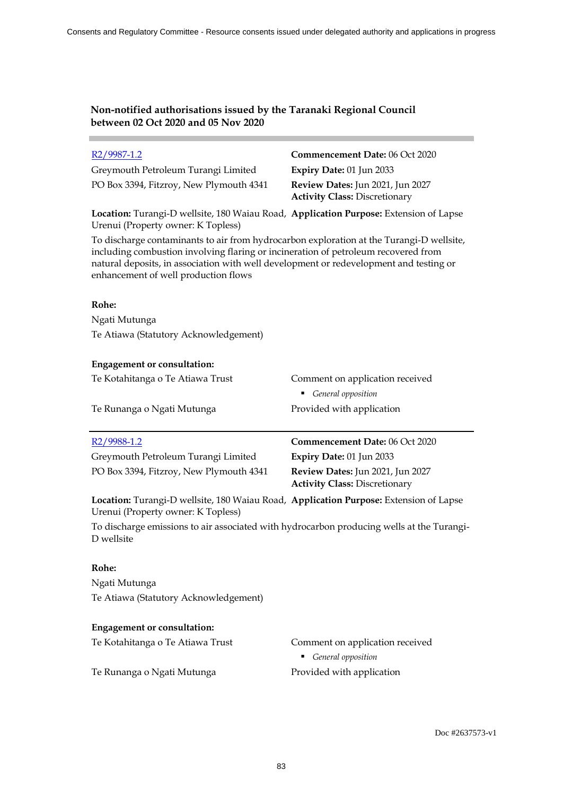| $R2/9987-1.2$                                                                                                                                                                                                                                                                                                    | Commencement Date: 06 Oct 2020                                           |  |  |
|------------------------------------------------------------------------------------------------------------------------------------------------------------------------------------------------------------------------------------------------------------------------------------------------------------------|--------------------------------------------------------------------------|--|--|
| Greymouth Petroleum Turangi Limited                                                                                                                                                                                                                                                                              | Expiry Date: 01 Jun 2033                                                 |  |  |
| PO Box 3394, Fitzroy, New Plymouth 4341                                                                                                                                                                                                                                                                          | Review Dates: Jun 2021, Jun 2027<br><b>Activity Class: Discretionary</b> |  |  |
| Location: Turangi-D wellsite, 180 Waiau Road, Application Purpose: Extension of Lapse<br>Urenui (Property owner: K Topless)                                                                                                                                                                                      |                                                                          |  |  |
| To discharge contaminants to air from hydrocarbon exploration at the Turangi-D wellsite,<br>including combustion involving flaring or incineration of petroleum recovered from<br>natural deposits, in association with well development or redevelopment and testing or<br>enhancement of well production flows |                                                                          |  |  |
| Rohe:                                                                                                                                                                                                                                                                                                            |                                                                          |  |  |
| Ngati Mutunga                                                                                                                                                                                                                                                                                                    |                                                                          |  |  |
| Te Atiawa (Statutory Acknowledgement)                                                                                                                                                                                                                                                                            |                                                                          |  |  |
| <b>Engagement or consultation:</b>                                                                                                                                                                                                                                                                               |                                                                          |  |  |
| Te Kotahitanga o Te Atiawa Trust                                                                                                                                                                                                                                                                                 | Comment on application received<br>General opposition                    |  |  |
| Te Runanga o Ngati Mutunga                                                                                                                                                                                                                                                                                       | Provided with application                                                |  |  |
| $R2/9988-1.2$                                                                                                                                                                                                                                                                                                    | Commencement Date: 06 Oct 2020                                           |  |  |
| Greymouth Petroleum Turangi Limited                                                                                                                                                                                                                                                                              | Expiry Date: 01 Jun 2033                                                 |  |  |
| PO Box 3394, Fitzroy, New Plymouth 4341                                                                                                                                                                                                                                                                          | Review Dates: Jun 2021, Jun 2027<br><b>Activity Class: Discretionary</b> |  |  |
| Location: Turangi-D wellsite, 180 Waiau Road, Application Purpose: Extension of Lapse<br>Urenui (Property owner: K Topless)                                                                                                                                                                                      |                                                                          |  |  |
| To discharge emissions to air associated with hydrocarbon producing wells at the Turangi-<br>D wellsite                                                                                                                                                                                                          |                                                                          |  |  |
|                                                                                                                                                                                                                                                                                                                  |                                                                          |  |  |
| Rohe:                                                                                                                                                                                                                                                                                                            |                                                                          |  |  |
| Ngati Mutunga                                                                                                                                                                                                                                                                                                    |                                                                          |  |  |
| Te Atiawa (Statutory Acknowledgement)                                                                                                                                                                                                                                                                            |                                                                          |  |  |
| <b>Engagement or consultation:</b>                                                                                                                                                                                                                                                                               |                                                                          |  |  |
| Te Kotahitanga o Te Atiawa Trust                                                                                                                                                                                                                                                                                 | Comment on application received<br>General opposition                    |  |  |

i.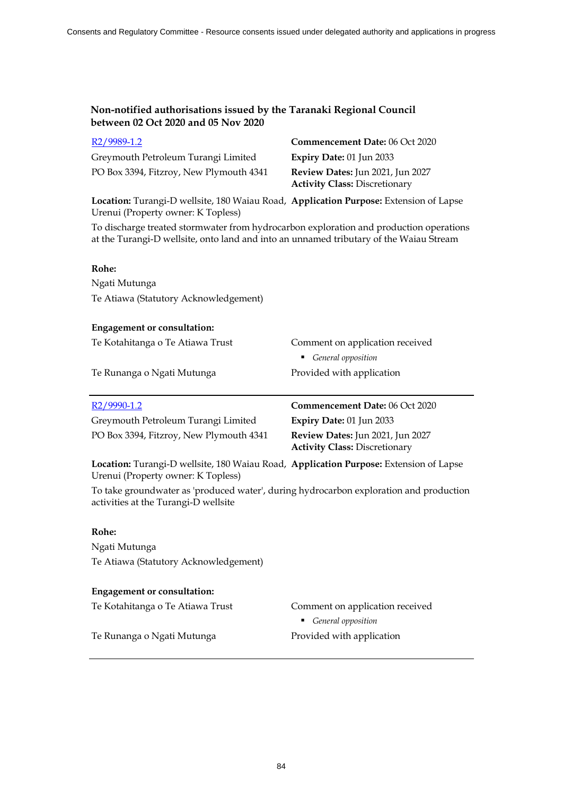| $R2/9989-1.2$                                                                                                                                                                    | <b>Commencement Date: 06 Oct 2020</b>                                    |
|----------------------------------------------------------------------------------------------------------------------------------------------------------------------------------|--------------------------------------------------------------------------|
| Greymouth Petroleum Turangi Limited                                                                                                                                              | Expiry Date: 01 Jun 2033                                                 |
| PO Box 3394, Fitzroy, New Plymouth 4341                                                                                                                                          | Review Dates: Jun 2021, Jun 2027<br><b>Activity Class: Discretionary</b> |
| Location: Turangi-D wellsite, 180 Waiau Road, Application Purpose: Extension of Lapse<br>Urenui (Property owner: K Topless)                                                      |                                                                          |
| To discharge treated stormwater from hydrocarbon exploration and production operations<br>at the Turangi-D wellsite, onto land and into an unnamed tributary of the Waiau Stream |                                                                          |
| Rohe:                                                                                                                                                                            |                                                                          |
| Ngati Mutunga                                                                                                                                                                    |                                                                          |
| Te Atiawa (Statutory Acknowledgement)                                                                                                                                            |                                                                          |
| <b>Engagement or consultation:</b>                                                                                                                                               |                                                                          |
| Te Kotahitanga o Te Atiawa Trust                                                                                                                                                 | Comment on application received                                          |
|                                                                                                                                                                                  | General opposition                                                       |
| Te Runanga o Ngati Mutunga                                                                                                                                                       | Provided with application                                                |
| R <sub>2</sub> /9990-1.2                                                                                                                                                         | Commencement Date: 06 Oct 2020                                           |
| Greymouth Petroleum Turangi Limited                                                                                                                                              | Expiry Date: 01 Jun 2033                                                 |
| PO Box 3394, Fitzroy, New Plymouth 4341                                                                                                                                          | Review Dates: Jun 2021, Jun 2027<br><b>Activity Class: Discretionary</b> |
| Location: Turangi-D wellsite, 180 Waiau Road, Application Purpose: Extension of Lapse<br>Urenui (Property owner: K Topless)                                                      |                                                                          |
| To take groundwater as 'produced water', during hydrocarbon exploration and production<br>activities at the Turangi-D wellsite                                                   |                                                                          |
| Rohe:                                                                                                                                                                            |                                                                          |
| Ngati Mutunga                                                                                                                                                                    |                                                                          |
| Te Atiawa (Statutory Acknowledgement)                                                                                                                                            |                                                                          |
|                                                                                                                                                                                  |                                                                          |
| <b>Engagement or consultation:</b>                                                                                                                                               |                                                                          |

Te Runanga o Ngati Mutunga **Provided with application**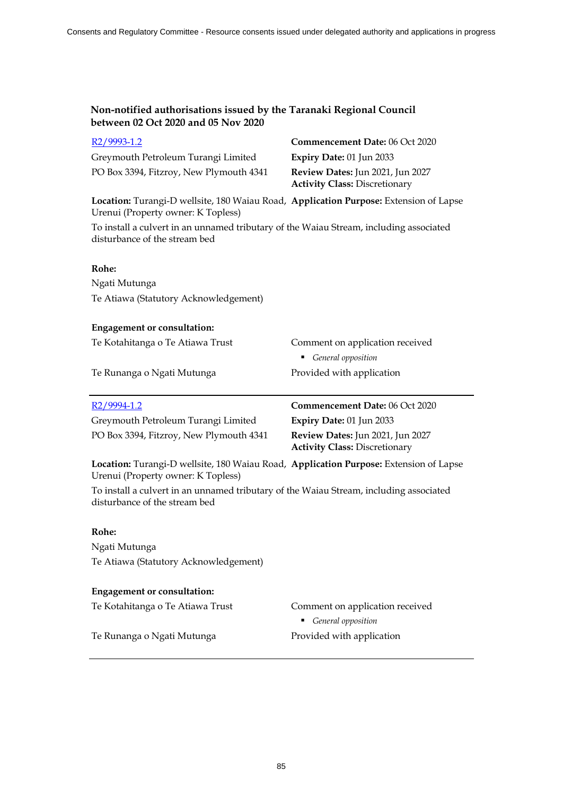| $R2/9993-1.2$                                                                                                               | Commencement Date: 06 Oct 2020                                           |
|-----------------------------------------------------------------------------------------------------------------------------|--------------------------------------------------------------------------|
| Greymouth Petroleum Turangi Limited                                                                                         | Expiry Date: 01 Jun 2033                                                 |
| PO Box 3394, Fitzroy, New Plymouth 4341                                                                                     | Review Dates: Jun 2021, Jun 2027<br><b>Activity Class: Discretionary</b> |
| Location: Turangi-D wellsite, 180 Waiau Road, Application Purpose: Extension of Lapse<br>Urenui (Property owner: K Topless) |                                                                          |
| To install a culvert in an unnamed tributary of the Waiau Stream, including associated<br>disturbance of the stream bed     |                                                                          |
| Rohe:                                                                                                                       |                                                                          |
| Ngati Mutunga                                                                                                               |                                                                          |
| Te Atiawa (Statutory Acknowledgement)                                                                                       |                                                                          |
| <b>Engagement or consultation:</b>                                                                                          |                                                                          |
| Te Kotahitanga o Te Atiawa Trust                                                                                            | Comment on application received                                          |
|                                                                                                                             | General opposition                                                       |
| Te Runanga o Ngati Mutunga                                                                                                  | Provided with application                                                |
| R <sub>2</sub> /9994-1.2                                                                                                    | Commencement Date: 06 Oct 2020                                           |
| Greymouth Petroleum Turangi Limited                                                                                         | Expiry Date: 01 Jun 2033                                                 |
|                                                                                                                             |                                                                          |
| PO Box 3394, Fitzroy, New Plymouth 4341                                                                                     | Review Dates: Jun 2021, Jun 2027<br><b>Activity Class: Discretionary</b> |
| Location: Turangi-D wellsite, 180 Waiau Road, Application Purpose: Extension of Lapse<br>Urenui (Property owner: K Topless) |                                                                          |
| To install a culvert in an unnamed tributary of the Waiau Stream, including associated<br>disturbance of the stream bed     |                                                                          |
| Rohe:                                                                                                                       |                                                                          |
| Ngati Mutunga                                                                                                               |                                                                          |
| Te Atiawa (Statutory Acknowledgement)                                                                                       |                                                                          |
| <b>Engagement or consultation:</b>                                                                                          |                                                                          |
| Te Kotahitanga o Te Atiawa Trust                                                                                            | Comment on application received<br>General opposition                    |

Te Runanga o Ngati Mutunga **Provided with application**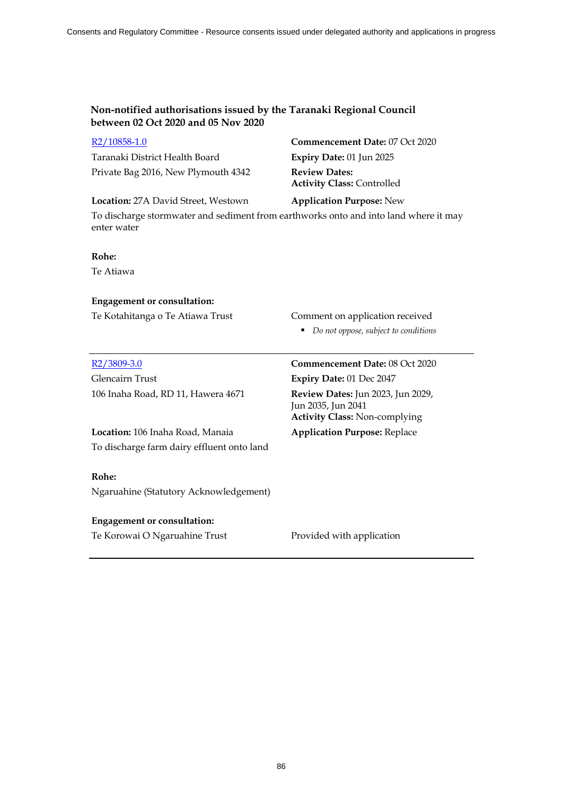| $R2/10858-1.0$                                                                                      | <b>Commencement Date: 07 Oct 2020</b>                     |
|-----------------------------------------------------------------------------------------------------|-----------------------------------------------------------|
| Taranaki District Health Board                                                                      | Expiry Date: $01$ Jun 2025                                |
| Private Bag 2016, New Plymouth 4342                                                                 | <b>Review Dates:</b><br><b>Activity Class: Controlled</b> |
| <b>Location:</b> 27A David Street, Westown                                                          | <b>Application Purpose:</b> New                           |
| To discharge stormwater and sediment from earthworks onto and into land where it may<br>enter water |                                                           |
| Rohe:                                                                                               |                                                           |
| Te Atiawa                                                                                           |                                                           |
| <b>Engagement or consultation:</b>                                                                  |                                                           |

Te Kotahitanga o Te Atiawa Trust Comment on application received

*Do not oppose, subject to conditions*

| R <sub>2</sub> /3809-3.0                        | <b>Commencement Date: 08 Oct 2020</b>                                                                  |
|-------------------------------------------------|--------------------------------------------------------------------------------------------------------|
| Glencairn Trust                                 | <b>Expiry Date: 01 Dec 2047</b>                                                                        |
| 106 Inaha Road, RD 11, Hawera 4671              | <b>Review Dates:</b> Jun 2023, Jun 2029,<br>Jun 2035, Jun 2041<br><b>Activity Class: Non-complying</b> |
| <b>Location:</b> 106 Inaha Road, Manaia         | <b>Application Purpose: Replace</b>                                                                    |
| To discharge farm dairy effluent onto land      |                                                                                                        |
| Rohe:<br>Ngaruahine (Statutory Acknowledgement) |                                                                                                        |
| <b>Engagement or consultation:</b>              |                                                                                                        |
| Te Korowai O Ngaruahine Trust                   | Provided with application                                                                              |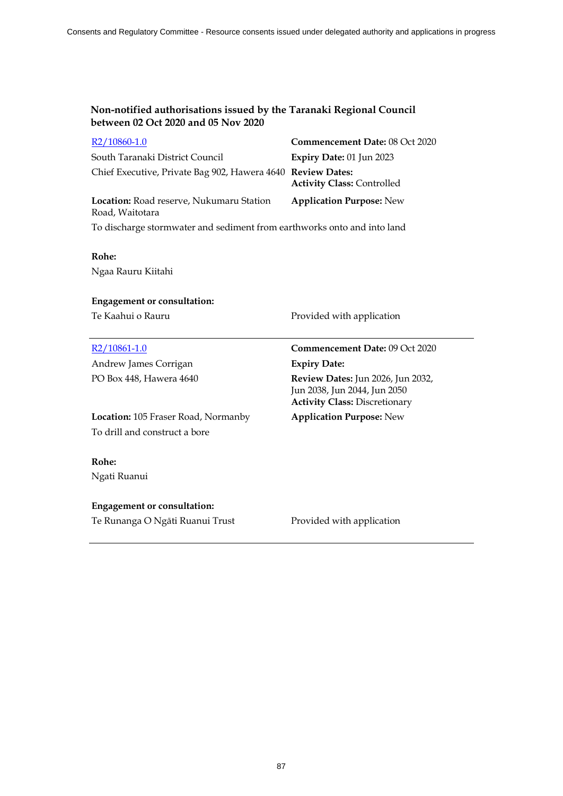| R2/10860-1.0                                                            | Commencement Date: 08 Oct 2020    |
|-------------------------------------------------------------------------|-----------------------------------|
| South Taranaki District Council                                         | Expiry Date: 01 Jun 2023          |
| Chief Executive, Private Bag 902, Hawera 4640 Review Dates:             | <b>Activity Class: Controlled</b> |
| Location: Road reserve, Nukumaru Station<br>Road, Waitotara             | <b>Application Purpose: New</b>   |
| To discharge stormwater and sediment from earthworks onto and into land |                                   |

### **Rohe:**

Ngaa Rauru Kiitahi

### **Engagement or consultation:**

Te Kaahui o Rauru **Provided with application** 

| R <sub>2</sub> /10861-1.0                  | <b>Commencement Date: 09 Oct 2020</b>                                                                            |
|--------------------------------------------|------------------------------------------------------------------------------------------------------------------|
| Andrew James Corrigan                      | <b>Expiry Date:</b>                                                                                              |
| PO Box 448, Hawera 4640                    | <b>Review Dates:</b> Jun 2026, Jun 2032,<br>Jun 2038, Jun 2044, Jun 2050<br><b>Activity Class: Discretionary</b> |
| <b>Location:</b> 105 Fraser Road, Normanby | <b>Application Purpose:</b> New                                                                                  |
| To drill and construct a bore              |                                                                                                                  |
| Rohe:                                      |                                                                                                                  |
| Ngati Ruanui                               |                                                                                                                  |
| <b>Engagement or consultation:</b>         |                                                                                                                  |

Te Runanga O Ngāti Ruanui Trust Provided with application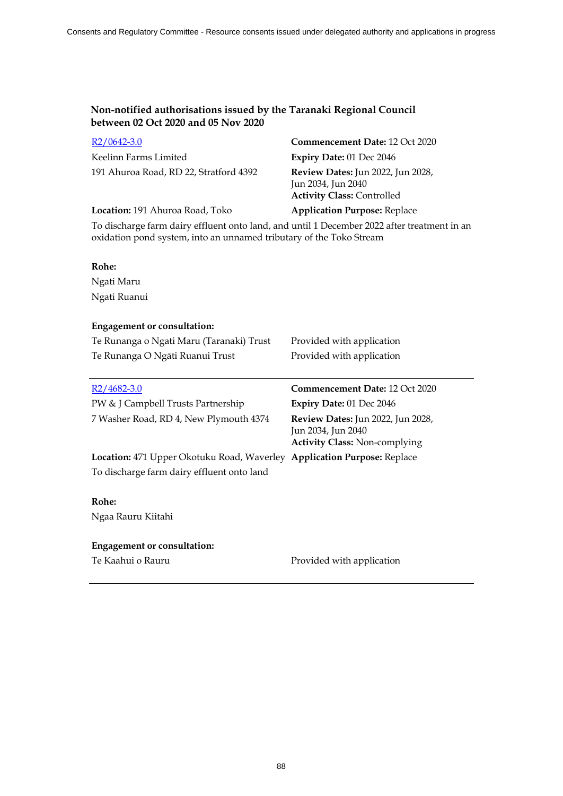| $R2/0642-3.0$                                                                                                                                                      | Commencement Date: 12 Oct 2020                                                                  |
|--------------------------------------------------------------------------------------------------------------------------------------------------------------------|-------------------------------------------------------------------------------------------------|
| Keelinn Farms Limited                                                                                                                                              | Expiry Date: 01 Dec 2046                                                                        |
| 191 Ahuroa Road, RD 22, Stratford 4392                                                                                                                             | Review Dates: Jun 2022, Jun 2028,<br>Jun 2034, Jun 2040<br><b>Activity Class: Controlled</b>    |
| Location: 191 Ahuroa Road, Toko                                                                                                                                    | <b>Application Purpose: Replace</b>                                                             |
| To discharge farm dairy effluent onto land, and until 1 December 2022 after treatment in an<br>oxidation pond system, into an unnamed tributary of the Toko Stream |                                                                                                 |
| Rohe:                                                                                                                                                              |                                                                                                 |
| Ngati Maru                                                                                                                                                         |                                                                                                 |
| Ngati Ruanui                                                                                                                                                       |                                                                                                 |
| <b>Engagement or consultation:</b>                                                                                                                                 |                                                                                                 |
| Te Runanga o Ngati Maru (Taranaki) Trust                                                                                                                           | Provided with application                                                                       |
| Te Runanga O Ngāti Ruanui Trust                                                                                                                                    | Provided with application                                                                       |
| $R2/4682-3.0$                                                                                                                                                      | Commencement Date: 12 Oct 2020                                                                  |
| PW & J Campbell Trusts Partnership                                                                                                                                 | Expiry Date: 01 Dec 2046                                                                        |
| 7 Washer Road, RD 4, New Plymouth 4374                                                                                                                             | Review Dates: Jun 2022, Jun 2028,<br>Jun 2034, Jun 2040<br><b>Activity Class: Non-complying</b> |
| Location: 471 Upper Okotuku Road, Waverley Application Purpose: Replace                                                                                            |                                                                                                 |
| To discharge farm dairy effluent onto land                                                                                                                         |                                                                                                 |
| Rohe:                                                                                                                                                              |                                                                                                 |
| Ngaa Rauru Kiitahi                                                                                                                                                 |                                                                                                 |
| <b>Engagement or consultation:</b>                                                                                                                                 |                                                                                                 |
| Te Kaahui o Rauru                                                                                                                                                  | Provided with application                                                                       |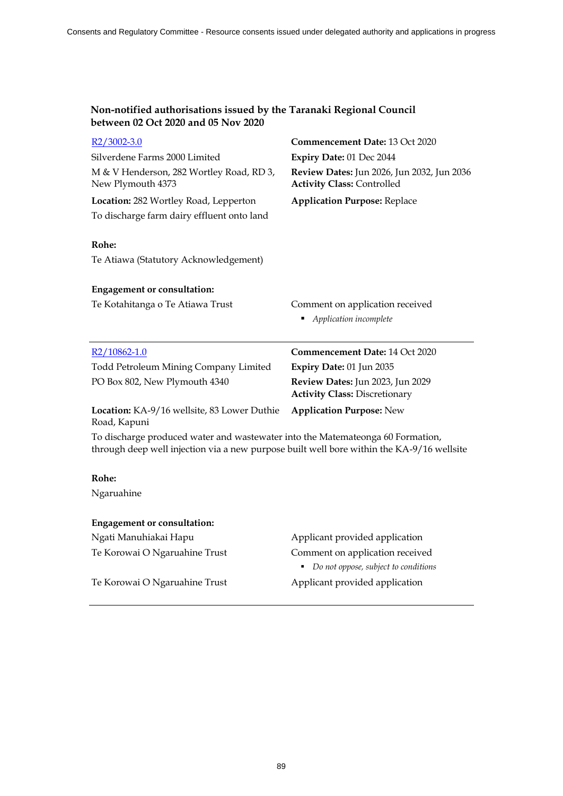| $R2/3002-3.0$                                                                                                                                                               | Commencement Date: 13 Oct 2020                                                  |
|-----------------------------------------------------------------------------------------------------------------------------------------------------------------------------|---------------------------------------------------------------------------------|
| Silverdene Farms 2000 Limited                                                                                                                                               | Expiry Date: 01 Dec 2044                                                        |
| M & V Henderson, 282 Wortley Road, RD 3,<br>New Plymouth 4373                                                                                                               | Review Dates: Jun 2026, Jun 2032, Jun 2036<br><b>Activity Class: Controlled</b> |
| Location: 282 Wortley Road, Lepperton                                                                                                                                       | <b>Application Purpose: Replace</b>                                             |
| To discharge farm dairy effluent onto land                                                                                                                                  |                                                                                 |
| Rohe:                                                                                                                                                                       |                                                                                 |
| Te Atiawa (Statutory Acknowledgement)                                                                                                                                       |                                                                                 |
| <b>Engagement or consultation:</b>                                                                                                                                          |                                                                                 |
| Te Kotahitanga o Te Atiawa Trust                                                                                                                                            | Comment on application received                                                 |
|                                                                                                                                                                             | • Application incomplete                                                        |
| $R2/10862-1.0$                                                                                                                                                              | <b>Commencement Date: 14 Oct 2020</b>                                           |
| Todd Petroleum Mining Company Limited                                                                                                                                       | Expiry Date: 01 Jun 2035                                                        |
| PO Box 802, New Plymouth 4340                                                                                                                                               | Review Dates: Jun 2023, Jun 2029<br><b>Activity Class: Discretionary</b>        |
| Location: KA-9/16 wellsite, 83 Lower Duthie<br>Road, Kapuni                                                                                                                 | <b>Application Purpose: New</b>                                                 |
| To discharge produced water and wastewater into the Matemateonga 60 Formation,<br>through deep well injection via a new purpose built well bore within the KA-9/16 wellsite |                                                                                 |
| Rohe:                                                                                                                                                                       |                                                                                 |
| Ngaruahine                                                                                                                                                                  |                                                                                 |
| <b>Engagement or consultation:</b>                                                                                                                                          |                                                                                 |
|                                                                                                                                                                             |                                                                                 |

Ngati Manuhiakai Hapu  $\qquad \qquad \qquad$ Applicant provided application

Te Korowai O Ngaruahine Trust Comment on application received *Do not oppose, subject to conditions* 

Te Korowai O Ngaruahine Trust Applicant provided application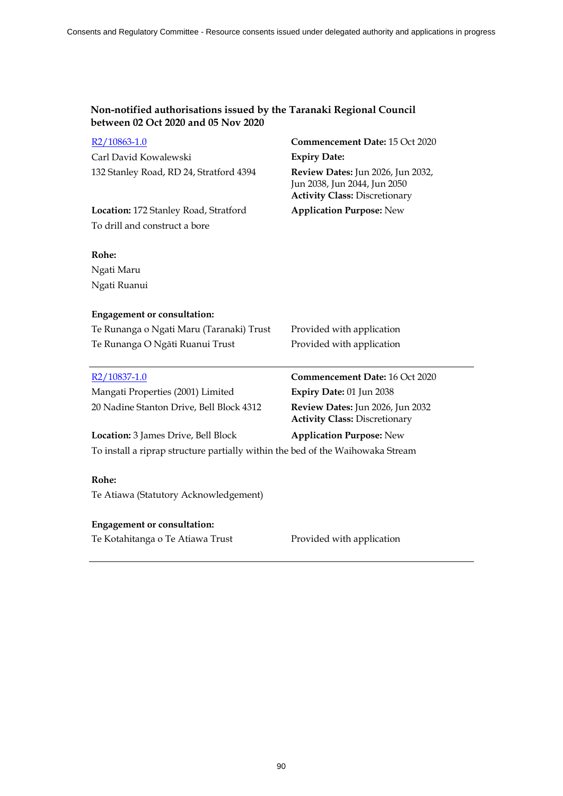| R2/10863-1.0                                                                   | Commencement Date: 15 Oct 2020                                                                                                          |  |  |
|--------------------------------------------------------------------------------|-----------------------------------------------------------------------------------------------------------------------------------------|--|--|
| Carl David Kowalewski                                                          | <b>Expiry Date:</b><br><b>Review Dates: Jun 2026, Jun 2032,</b><br>Jun 2038, Jun 2044, Jun 2050<br><b>Activity Class: Discretionary</b> |  |  |
| 132 Stanley Road, RD 24, Stratford 4394                                        |                                                                                                                                         |  |  |
| Location: 172 Stanley Road, Stratford                                          | <b>Application Purpose: New</b>                                                                                                         |  |  |
| To drill and construct a bore                                                  |                                                                                                                                         |  |  |
| Rohe:                                                                          |                                                                                                                                         |  |  |
| Ngati Maru                                                                     |                                                                                                                                         |  |  |
| Ngati Ruanui                                                                   |                                                                                                                                         |  |  |
| <b>Engagement or consultation:</b>                                             |                                                                                                                                         |  |  |
| Te Runanga o Ngati Maru (Taranaki) Trust                                       | Provided with application                                                                                                               |  |  |
| Te Runanga O Ngāti Ruanui Trust                                                | Provided with application                                                                                                               |  |  |
| R2/10837-1.0                                                                   | Commencement Date: 16 Oct 2020                                                                                                          |  |  |
| Mangati Properties (2001) Limited                                              | Expiry Date: 01 Jun 2038                                                                                                                |  |  |
| 20 Nadine Stanton Drive, Bell Block 4312                                       | Review Dates: Jun 2026, Jun 2032<br><b>Activity Class: Discretionary</b>                                                                |  |  |
| Location: 3 James Drive, Bell Block                                            | <b>Application Purpose: New</b>                                                                                                         |  |  |
| To install a riprap structure partially within the bed of the Waihowaka Stream |                                                                                                                                         |  |  |
| Rohe:                                                                          |                                                                                                                                         |  |  |
| Te Atiawa (Statutory Acknowledgement)                                          |                                                                                                                                         |  |  |
| <b>Engagement or consultation:</b>                                             |                                                                                                                                         |  |  |
| Te Kotahitanga o Te Atiawa Trust                                               | Provided with application                                                                                                               |  |  |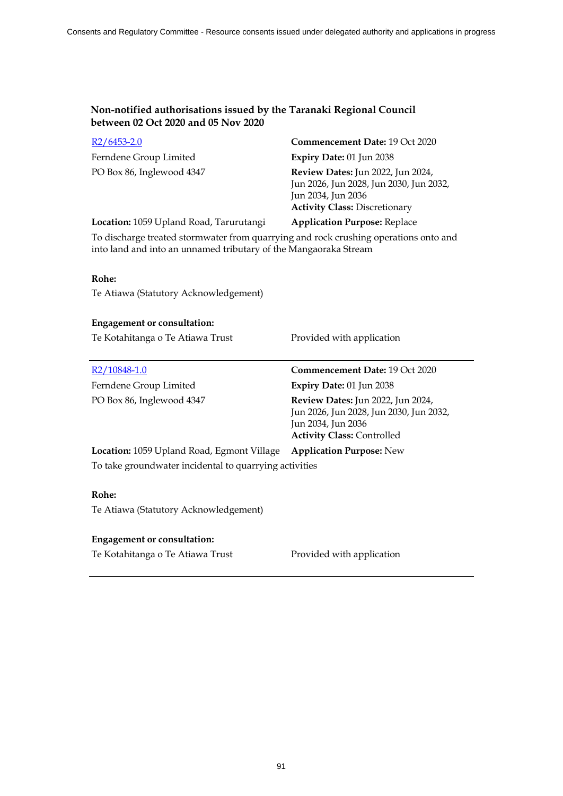| $R2/6453-2.0$                                                                        | <b>Commencement Date: 19 Oct 2020</b>                                                                                                             |  |
|--------------------------------------------------------------------------------------|---------------------------------------------------------------------------------------------------------------------------------------------------|--|
| Ferndene Group Limited                                                               | Expiry Date: 01 Jun 2038                                                                                                                          |  |
| PO Box 86, Inglewood 4347                                                            | <b>Review Dates:</b> Jun 2022, Jun 2024,<br>Jun 2026, Jun 2028, Jun 2030, Jun 2032,<br>Jun 2034, Jun 2036<br><b>Activity Class: Discretionary</b> |  |
| Location: 1059 Upland Road, Tarurutangi                                              | <b>Application Purpose: Replace</b>                                                                                                               |  |
| To discharge treated stormwater from quarrying and rock crushing operations onto and |                                                                                                                                                   |  |

into land and into an unnamed tributary of the Mangaoraka Stream

### **Rohe:**

Te Atiawa (Statutory Acknowledgement)

### **Engagement or consultation:**

Te Kotahitanga o Te Atiawa Trust Provided with application

Ferndene Group Limited **Expiry Date:** 01 Jun 2038

R2/10848-1.0 **Commencement Date:** 19 Oct 2020 PO Box 86, Inglewood 4347 **Review Dates:** Jun 2022, Jun 2024, Jun 2026, Jun 2028, Jun 2030, Jun 2032, Jun 2034, Jun 2036 **Activity Class:** Controlled

**Location:** 1059 Upland Road, Egmont Village **Application Purpose:** New To take groundwater incidental to quarrying activities

### **Rohe:**

Te Atiawa (Statutory Acknowledgement)

### **Engagement or consultation:**

Te Kotahitanga o Te Atiawa Trust Provided with application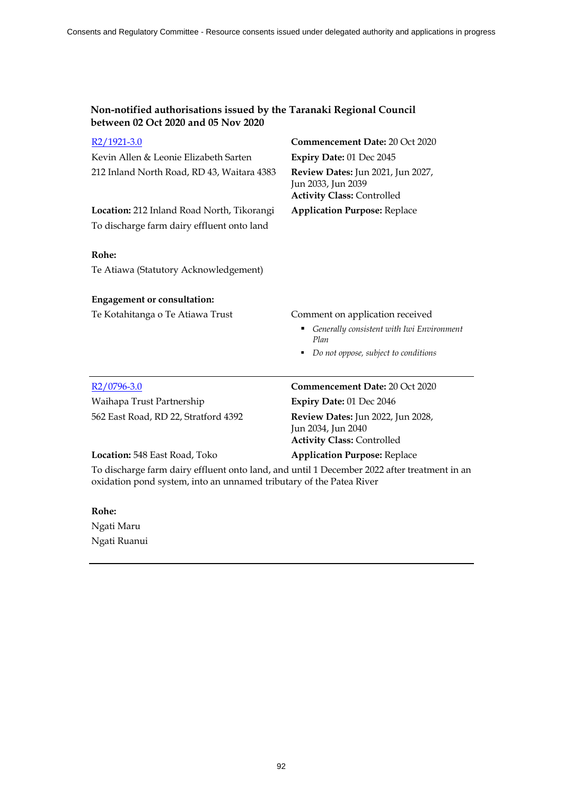| Non-notified authorisations issued by the Taranaki Regional Council |
|---------------------------------------------------------------------|
| between 02 Oct 2020 and 05 Nov 2020                                 |

| R2/1921-3.0                                                                                                                                                        | Commencement Date: 20 Oct 2020                                                                      |  |
|--------------------------------------------------------------------------------------------------------------------------------------------------------------------|-----------------------------------------------------------------------------------------------------|--|
| Kevin Allen & Leonie Elizabeth Sarten                                                                                                                              | Expiry Date: 01 Dec 2045                                                                            |  |
| 212 Inland North Road, RD 43, Waitara 4383                                                                                                                         | Review Dates: Jun 2021, Jun 2027,<br>Jun 2033, Jun 2039<br><b>Activity Class: Controlled</b>        |  |
| Location: 212 Inland Road North, Tikorangi                                                                                                                         | <b>Application Purpose: Replace</b>                                                                 |  |
| To discharge farm dairy effluent onto land                                                                                                                         |                                                                                                     |  |
| Rohe:                                                                                                                                                              |                                                                                                     |  |
| Te Atiawa (Statutory Acknowledgement)                                                                                                                              |                                                                                                     |  |
| <b>Engagement or consultation:</b>                                                                                                                                 |                                                                                                     |  |
| Te Kotahitanga o Te Atiawa Trust                                                                                                                                   | Comment on application received                                                                     |  |
|                                                                                                                                                                    | Generally consistent with Iwi Environment<br>Plan                                                   |  |
|                                                                                                                                                                    | Do not oppose, subject to conditions                                                                |  |
| R2/0796-3.0                                                                                                                                                        | <b>Commencement Date: 20 Oct 2020</b>                                                               |  |
| Waihapa Trust Partnership                                                                                                                                          | Expiry Date: 01 Dec 2046                                                                            |  |
| 562 East Road, RD 22, Stratford 4392                                                                                                                               | <b>Review Dates:</b> Jun 2022, Jun 2028,<br>Jun 2034, Jun 2040<br><b>Activity Class: Controlled</b> |  |
| Location: 548 East Road, Toko                                                                                                                                      | <b>Application Purpose: Replace</b>                                                                 |  |
| To discharge farm dairy effluent onto land, and until 1 December 2022 after treatment in an<br>oxidation pond system, into an unnamed tributary of the Patea River |                                                                                                     |  |

## **Rohe:**

Ngati Maru Ngati Ruanui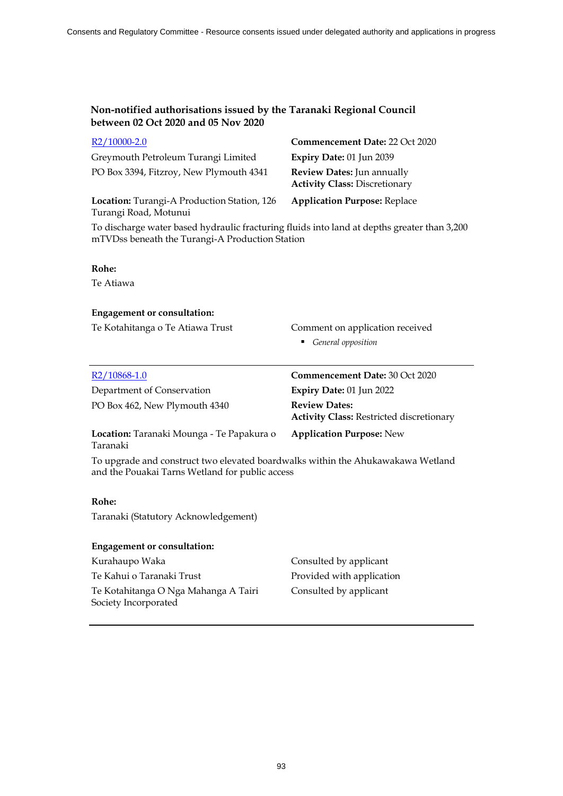| $R2/10000-2.0$                              | Commencement Date: 22 Oct 2020                                     |
|---------------------------------------------|--------------------------------------------------------------------|
| Greymouth Petroleum Turangi Limited         | Expiry Date: 01 Jun 2039                                           |
| PO Box 3394, Fitzroy, New Plymouth 4341     | Review Dates: Jun annually<br><b>Activity Class: Discretionary</b> |
| Location: Turangi-A Production Station, 126 | <b>Application Purpose: Replace</b>                                |

Turangi Road, Motunui

To discharge water based hydraulic fracturing fluids into land at depths greater than 3,200 mTVDss beneath the Turangi-A Production Station

### **Rohe:**

Te Atiawa

### **Engagement or consultation:**

Te Kotahitanga o Te Atiawa Trust Comment on application received

- - *General opposition*

| R <sub>2</sub> /10868-1.0                                                                                                          | <b>Commencement Date: 30 Oct 2020</b>                                   |  |
|------------------------------------------------------------------------------------------------------------------------------------|-------------------------------------------------------------------------|--|
| Department of Conservation                                                                                                         | Expiry Date: 01 Jun 2022                                                |  |
| PO Box 462, New Plymouth 4340                                                                                                      | <b>Review Dates:</b><br><b>Activity Class: Restricted discretionary</b> |  |
| Location: Taranaki Mounga - Te Papakura o<br>Taranaki                                                                              | <b>Application Purpose:</b> New                                         |  |
| To upgrade and construct two elevated boardwalks within the Ahukawakawa Wetland<br>and the Pouakai Tarns Wetland for public access |                                                                         |  |
| Rohe:                                                                                                                              |                                                                         |  |
| Taranaki (Statutory Acknowledgement)                                                                                               |                                                                         |  |

### **Engagement or consultation:**

Kurahaupo Waka **Consulted by applicant** Te Kahui o Taranaki Trust Provided with application Te Kotahitanga O Nga Mahanga A Tairi Society Incorporated

Consulted by applicant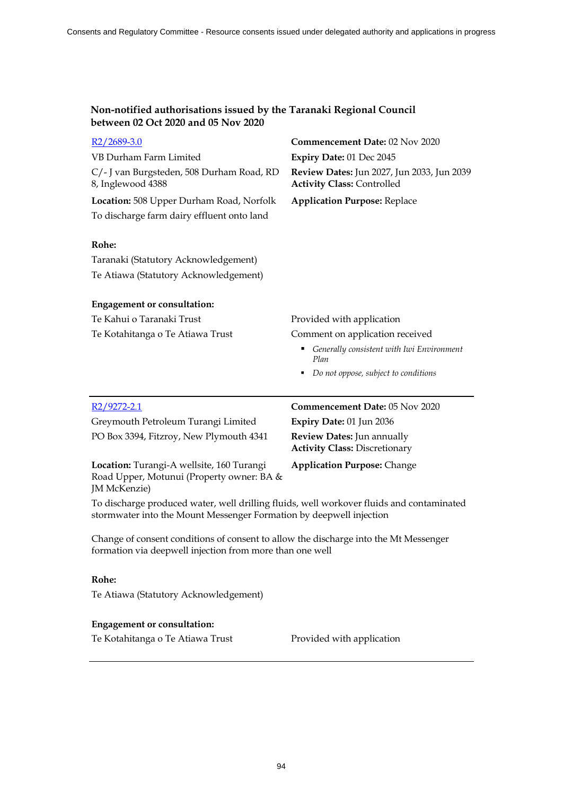| $R2/2689-3.0$                                                                                                                                                   | Commencement Date: 02 Nov 2020                                                  |
|-----------------------------------------------------------------------------------------------------------------------------------------------------------------|---------------------------------------------------------------------------------|
| VB Durham Farm Limited                                                                                                                                          | Expiry Date: 01 Dec 2045                                                        |
| C/- J van Burgsteden, 508 Durham Road, RD<br>8, Inglewood 4388                                                                                                  | Review Dates: Jun 2027, Jun 2033, Jun 2039<br><b>Activity Class: Controlled</b> |
| Location: 508 Upper Durham Road, Norfolk                                                                                                                        | <b>Application Purpose: Replace</b>                                             |
| To discharge farm dairy effluent onto land                                                                                                                      |                                                                                 |
| Rohe:                                                                                                                                                           |                                                                                 |
| Taranaki (Statutory Acknowledgement)                                                                                                                            |                                                                                 |
| Te Atiawa (Statutory Acknowledgement)                                                                                                                           |                                                                                 |
| <b>Engagement or consultation:</b>                                                                                                                              |                                                                                 |
| Te Kahui o Taranaki Trust                                                                                                                                       | Provided with application                                                       |
| Te Kotahitanga o Te Atiawa Trust                                                                                                                                | Comment on application received                                                 |
|                                                                                                                                                                 | Generally consistent with Iwi Environment<br>Plan                               |
|                                                                                                                                                                 | Do not oppose, subject to conditions<br>٠                                       |
|                                                                                                                                                                 |                                                                                 |
|                                                                                                                                                                 |                                                                                 |
| R <sub>2</sub> /9272-2.1                                                                                                                                        | Commencement Date: 05 Nov 2020                                                  |
| Greymouth Petroleum Turangi Limited                                                                                                                             | Expiry Date: 01 Jun 2036                                                        |
| PO Box 3394, Fitzroy, New Plymouth 4341                                                                                                                         | Review Dates: Jun annually<br><b>Activity Class: Discretionary</b>              |
| Location: Turangi-A wellsite, 160 Turangi<br>Road Upper, Motunui (Property owner: BA &<br>JM McKenzie)                                                          | <b>Application Purpose: Change</b>                                              |
| To discharge produced water, well drilling fluids, well workover fluids and contaminated<br>stormwater into the Mount Messenger Formation by deepwell injection |                                                                                 |
| Change of consent conditions of consent to allow the discharge into the Mt Messenger<br>formation via deepwell injection from more than one well                |                                                                                 |
| Rohe:                                                                                                                                                           |                                                                                 |
| Te Atiawa (Statutory Acknowledgement)                                                                                                                           |                                                                                 |

Te Kotahitanga o Te Atiawa Trust Provided with application